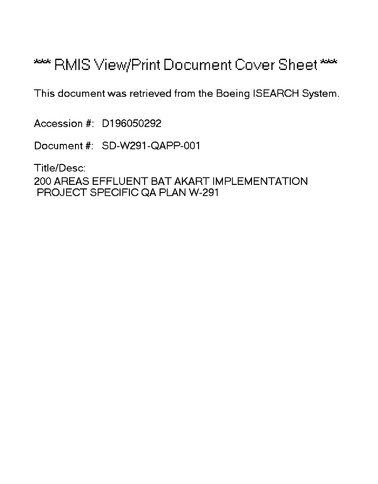# \*\*\* RMIS View/Print Document Cover Sheet \*\*\*

This document was retrieved from the Boeing ISEARCH System.

Accession #: D196050292

Document #: SD-W291-QAPP-001

Title/Desc:

200 AREAS EFFLUENT BAT AKART IMPLEMENTATION PROJECT SPECIFIC QA PLAN W-291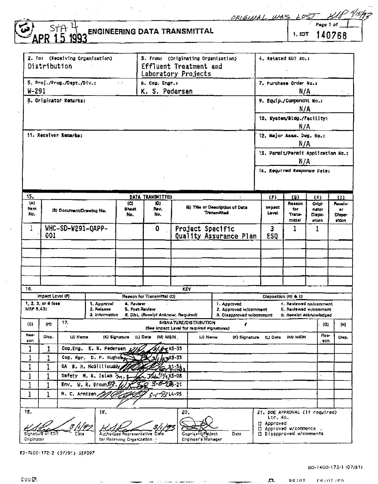ORIGINAL

## $\frac{5 + 4}{15}$ **ENGINEERING DATA TRANSMITTAL**

Page 1 of 1. EDT 140768

0 \*/15#2

|                         | 2. To: (Receiving Organization)<br>Distribution |                            |                                |                                                         |                                     | 3. From: (Originating Organization)<br>Effluent Treatment and<br>Laboratory Projects |                                                   | 4. Retated EDT No.z                           |                                   |                                                  |                                   |  |  |
|-------------------------|-------------------------------------------------|----------------------------|--------------------------------|---------------------------------------------------------|-------------------------------------|--------------------------------------------------------------------------------------|---------------------------------------------------|-----------------------------------------------|-----------------------------------|--------------------------------------------------|-----------------------------------|--|--|
|                         |                                                 | 5. Proj./Prog./Dapt./Div.: |                                | ċ.                                                      | 6. Cog. Engr.:                      |                                                                                      |                                                   | 7. Purchase Order No.z                        |                                   |                                                  |                                   |  |  |
| W-291                   |                                                 |                            |                                |                                                         | K. S. Pedersen                      |                                                                                      |                                                   | N/A                                           |                                   |                                                  |                                   |  |  |
|                         |                                                 | 8. Originator Remarks:     |                                |                                                         |                                     |                                                                                      |                                                   | 9. Equip./Component No.:                      |                                   |                                                  |                                   |  |  |
|                         |                                                 |                            |                                |                                                         |                                     |                                                                                      |                                                   |                                               | N/A                               |                                                  |                                   |  |  |
|                         |                                                 |                            |                                |                                                         |                                     |                                                                                      |                                                   | 10. System/Bidg./Facility:                    | N/A                               |                                                  |                                   |  |  |
|                         |                                                 | 11. Receiver Remarks:      |                                |                                                         |                                     |                                                                                      |                                                   | 12. Major Assm. Dwg. No.:                     |                                   |                                                  |                                   |  |  |
|                         |                                                 |                            |                                |                                                         |                                     |                                                                                      |                                                   |                                               | N/A                               |                                                  |                                   |  |  |
|                         |                                                 |                            |                                |                                                         |                                     |                                                                                      |                                                   |                                               |                                   | 13. Parmit/Permit Application No.:               |                                   |  |  |
|                         |                                                 |                            |                                |                                                         |                                     |                                                                                      |                                                   |                                               | N/A                               |                                                  |                                   |  |  |
|                         |                                                 |                            |                                |                                                         |                                     |                                                                                      |                                                   | 14. Required Response Date:                   |                                   |                                                  |                                   |  |  |
|                         |                                                 |                            |                                |                                                         |                                     |                                                                                      |                                                   |                                               |                                   |                                                  |                                   |  |  |
| 15.                     |                                                 |                            |                                |                                                         | DATA TRANSMITTED                    |                                                                                      |                                                   | œ                                             | (G)                               | (1)                                              | (1)                               |  |  |
| (A)<br>hem.<br>No.      |                                                 | (B) Document/Drawing No.   |                                | (C)<br>Sheet<br>No.                                     | (D)<br>Rev.<br>No.                  |                                                                                      | (5) This or Description of Data<br>Trensmitted    | Impect<br>Level                               | Reason<br>tor<br>Trans-<br>mittel | Origi-<br>nator<br>Dispo-<br>sition              | Austriv<br>.,<br>Dispo-<br>sition |  |  |
| 1                       |                                                 | WHC-SD-W291-QAPP-          |                                |                                                         | 0                                   | Project Specific                                                                     |                                                   | 3                                             | 1                                 | 1                                                |                                   |  |  |
|                         | 001                                             |                            |                                |                                                         |                                     |                                                                                      | Quality Assurance Plan                            | ES0                                           |                                   |                                                  |                                   |  |  |
|                         |                                                 |                            |                                |                                                         |                                     |                                                                                      |                                                   |                                               |                                   |                                                  |                                   |  |  |
|                         |                                                 |                            |                                |                                                         |                                     |                                                                                      |                                                   |                                               |                                   |                                                  |                                   |  |  |
|                         |                                                 |                            |                                |                                                         |                                     |                                                                                      |                                                   |                                               |                                   |                                                  |                                   |  |  |
|                         |                                                 |                            |                                |                                                         |                                     |                                                                                      |                                                   |                                               |                                   |                                                  |                                   |  |  |
|                         |                                                 |                            |                                |                                                         |                                     |                                                                                      |                                                   |                                               |                                   |                                                  |                                   |  |  |
| 16.                     | Impact Lovel (F)                                |                            |                                |                                                         | Reason for Transmittal (Q)          | <b>KEY</b>                                                                           |                                                   |                                               | Disposition (M) & (I)             |                                                  |                                   |  |  |
|                         | 1, 2, 3, or 4 (see)                             |                            | 1. Approval                    | 4. Review                                               |                                     |                                                                                      | 1. Approved                                       |                                               |                                   | 4. Reviewed no/comment                           |                                   |  |  |
| MRF 5.43)               |                                                 |                            | 2. Haioaza<br>3. Information   | 5. Post-Review                                          | 6. Dist. (Receipt Acknow, Required) |                                                                                      | 2. Approved w/comment<br>3. Disapproved w/commont |                                               |                                   | 6. Reviewed w/comment<br>8. Receipt scknowladged |                                   |  |  |
| (G)                     | (H)                                             | 17.                        |                                |                                                         |                                     | <b>SIGNATURE/DISTRIBUTION</b><br>(See Impact Lavel for required signatures)          | ,                                                 |                                               |                                   | (G)                                              | (H)                               |  |  |
| Rea-<br>son             | Disp.                                           | (J) Nams                   |                                | (K) Sidnatura                                           | (M) MSIN<br>(L) Date                | (J) Name                                                                             | (K) Signature                                     | (L) Date                                      | (M) MEW                           | Ros-<br>100                                      | Disp.                             |  |  |
| ı                       | 1                                               | Cog.Eng.                   | K. S. Pederson                 |                                                         |                                     | - R3-35                                                                              |                                                   |                                               |                                   |                                                  |                                   |  |  |
| 1                       | 1                                               |                            | Cog. Mgr. D. P. Hughes,        |                                                         |                                     | $4 - 35 - 35$                                                                        |                                                   |                                               |                                   |                                                  |                                   |  |  |
| 1                       | 1                                               |                            | QA B. H. McGillicuddy          |                                                         |                                     |                                                                                      |                                                   |                                               |                                   |                                                  |                                   |  |  |
| 1                       | 1                                               |                            | Safety M. N. Islam m. g        |                                                         | .Talu                               | $^{51}$ //c R3-08                                                                    |                                                   |                                               |                                   |                                                  |                                   |  |  |
| 1                       | 1                                               |                            | Env. W. R. Brown $\mathscr{D}$ |                                                         | 3-8-2路-21                           |                                                                                      |                                                   |                                               |                                   |                                                  |                                   |  |  |
| 1                       | 1                                               | M. C. Arntzen,             |                                |                                                         | $2 - \frac{2}{2}$ 214-95            |                                                                                      |                                                   |                                               |                                   |                                                  |                                   |  |  |
|                         |                                                 |                            |                                |                                                         |                                     |                                                                                      |                                                   |                                               |                                   |                                                  |                                   |  |  |
| 18.                     |                                                 |                            | 19.                            |                                                         |                                     | 20,                                                                                  |                                                   | 21. DOE APPROVAL (if required)<br>Ltr. No.    |                                   |                                                  |                                   |  |  |
| Signetu.e<br>Originator |                                                 |                            |                                | Authorized Representative<br>for Receiving Organization |                                     | CognizantyP<br>toject.<br>Engineer's Manager                                         | Date                                              | II Approved<br>u<br>[] Dissporaved w/comments | Approved W/comments               |                                                  |                                   |  |  |

ED-7400-172-2 (07/91) GEF097

 $ac: nT$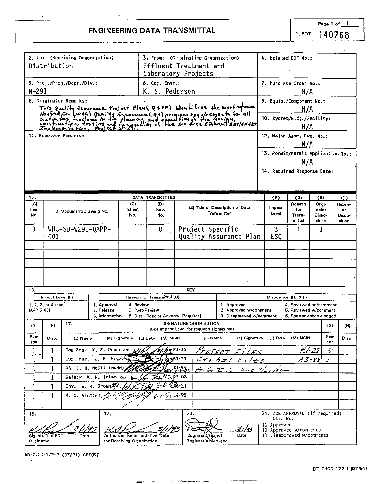## **ENGINEERING DATA TRANSMITTAL**

|              | Distribution       | 2. To: (Receiving Organization) |                              |                            |                                     | 3. From: (Originating Organization)<br>Effluent Treatment and                                                                                                                                                                           |                                                   | 4. Related EDT No.:                |                                                  |               |                  |                             |
|--------------|--------------------|---------------------------------|------------------------------|----------------------------|-------------------------------------|-----------------------------------------------------------------------------------------------------------------------------------------------------------------------------------------------------------------------------------------|---------------------------------------------------|------------------------------------|--------------------------------------------------|---------------|------------------|-----------------------------|
|              |                    |                                 |                              |                            |                                     | Laboratory Projects                                                                                                                                                                                                                     |                                                   |                                    |                                                  |               |                  |                             |
|              |                    | 5. Proj./Prog./Dept./Div.:      |                              |                            | 6. Cog. Engr.:                      |                                                                                                                                                                                                                                         |                                                   | 7. Purchase Order No.:             |                                                  |               |                  |                             |
| W-291        |                    |                                 |                              |                            | K. S. Pedersen                      |                                                                                                                                                                                                                                         |                                                   |                                    | N/A                                              |               |                  |                             |
|              |                    | 8. Originator Remarks:          |                              |                            |                                     |                                                                                                                                                                                                                                         |                                                   | 9. Equip./Component No.:           |                                                  |               |                  |                             |
|              |                    |                                 |                              |                            |                                     |                                                                                                                                                                                                                                         |                                                   |                                    | N/A                                              |               |                  |                             |
|              |                    |                                 |                              |                            |                                     |                                                                                                                                                                                                                                         |                                                   | 10. System/Bldg./Facility:         |                                                  |               |                  |                             |
|              |                    |                                 |                              |                            |                                     | This Quality Assurance Project Plan( QAPP) identifies the coordingtouse<br>Hanford, Co. (WHC) Quality Assurance ( QA) program requirements for all<br>courspoint wiveload in the planning and execution of the design,<br>compounts for |                                                   |                                    | N/A                                              |               |                  |                             |
|              |                    | 11. Receiver Remarks:           |                              |                            |                                     |                                                                                                                                                                                                                                         |                                                   | 12. Major Assm. Dwg. No.:          |                                                  |               |                  |                             |
|              |                    |                                 |                              |                            |                                     |                                                                                                                                                                                                                                         |                                                   |                                    | N/A                                              |               |                  |                             |
|              |                    |                                 |                              |                            |                                     |                                                                                                                                                                                                                                         |                                                   | 13. Permit/Permit Application No.: |                                                  |               |                  |                             |
|              |                    |                                 |                              |                            |                                     |                                                                                                                                                                                                                                         |                                                   |                                    | N/A                                              |               |                  |                             |
|              |                    |                                 |                              |                            |                                     |                                                                                                                                                                                                                                         |                                                   | 14. Required Response Date:        |                                                  |               |                  |                             |
|              |                    |                                 |                              |                            |                                     |                                                                                                                                                                                                                                         |                                                   |                                    |                                                  |               |                  |                             |
|              |                    |                                 |                              |                            |                                     |                                                                                                                                                                                                                                         |                                                   |                                    |                                                  |               |                  |                             |
| 15.<br>(A)   |                    |                                 |                              | (C)                        | DATA TRANSMITTED<br>(D)             |                                                                                                                                                                                                                                         |                                                   | (F)                                | (G)<br>Reason                                    | (H)<br>Origi- |                  | $\left(1\right)$<br>Receiv- |
| Item         |                    | (B) Document/Drawing No.        |                              | Shoot                      | Rev.                                | (E) Title or Description of Data<br>Transmitted                                                                                                                                                                                         |                                                   | Impact:<br>Level                   | for                                              | nator         |                  | $^{\circ}$                  |
| No.          |                    |                                 |                              | No.                        | No.                                 |                                                                                                                                                                                                                                         |                                                   | Trans-<br>mittal                   | Dispo-<br>sition                                 |               | Dispo-<br>sition |                             |
| 1            |                    | WHC-SD-W291-QAPP-               |                              |                            | o                                   | Project Specific                                                                                                                                                                                                                        | 3                                                 | Ł                                  | 1                                                |               |                  |                             |
|              | 001                |                                 |                              |                            |                                     |                                                                                                                                                                                                                                         | Quality Assurance Plan                            | ES0                                |                                                  |               |                  |                             |
|              |                    |                                 |                              |                            |                                     |                                                                                                                                                                                                                                         |                                                   |                                    |                                                  |               |                  |                             |
|              |                    |                                 |                              |                            |                                     |                                                                                                                                                                                                                                         |                                                   |                                    |                                                  |               |                  |                             |
|              |                    |                                 |                              |                            |                                     |                                                                                                                                                                                                                                         |                                                   |                                    |                                                  |               |                  |                             |
|              |                    |                                 |                              |                            |                                     |                                                                                                                                                                                                                                         |                                                   |                                    |                                                  |               |                  |                             |
|              |                    |                                 |                              |                            |                                     |                                                                                                                                                                                                                                         |                                                   |                                    |                                                  |               |                  |                             |
| 16.          | Impact Level (F)   |                                 |                              |                            | Reason for Transmittal (G)          | KEY                                                                                                                                                                                                                                     |                                                   |                                    | Disposition (H) & (I)                            |               |                  |                             |
|              | 1, 2, 3, or 4 (see |                                 | 1. Approval                  | 4. Review                  |                                     |                                                                                                                                                                                                                                         | 1. Approved                                       |                                    | 4. Reviewed no/comment                           |               |                  |                             |
| MRP 5.43)    |                    |                                 | 2. Release<br>3. Information | 5. Post-Review             | 6. Dist. (Receipt Acknow, Required) |                                                                                                                                                                                                                                         | 2. Approved w/comment<br>3. Disapproved w/comment |                                    | 5, Reviewed w/comment<br>6. Receipt acknowledged |               |                  |                             |
|              | (H)                | 17.                             |                              |                            |                                     | SIGNATURE/DISTRIBUTION                                                                                                                                                                                                                  |                                                   |                                    |                                                  |               |                  |                             |
| (G)          |                    |                                 |                              |                            |                                     | (See impact Level for required signatures)                                                                                                                                                                                              |                                                   |                                    |                                                  |               | (G)              | (H)                         |
| Rea-<br>son  | Disp.              | (J) Name                        |                              | (K) Signature              | (M) MSIN<br>(L) Date                | (J) Name                                                                                                                                                                                                                                | (K) Signatura                                     | (L) Date                           | (M) MSIN                                         |               | Rea-<br>son      | Disp.                       |
| 1            | I                  | Cog.Eng.                        | K. S. Pedersen               |                            |                                     | R3-35                                                                                                                                                                                                                                   |                                                   |                                    |                                                  | R1-25         | 3                |                             |
| 1            | 1                  | Cog. Mgr.                       | D. P. Hughel                 |                            |                                     | 783-35                                                                                                                                                                                                                                  | Central $F_1/F_5$                                 |                                    |                                                  | A3-88         | 3                |                             |
| 1            | ı                  |                                 | QA B. H. McGillicuddy        |                            |                                     |                                                                                                                                                                                                                                         | $\kappa_{me}$                                     |                                    |                                                  |               |                  |                             |
| $\mathbf{1}$ | l                  | Safety                          | M. N. Islam m.               |                            |                                     | $1/4$ , R3-08                                                                                                                                                                                                                           |                                                   |                                    |                                                  |               |                  |                             |
| 1            | ı                  | Env.                            | $V. R. Brown \mathbb{Z}$     |                            |                                     | ZiB-21                                                                                                                                                                                                                                  |                                                   |                                    |                                                  |               |                  |                             |
| 1            | T                  | M. C. Arntzen                   |                              |                            |                                     | 57714-95                                                                                                                                                                                                                                |                                                   |                                    |                                                  |               |                  |                             |
|              |                    |                                 |                              |                            |                                     |                                                                                                                                                                                                                                         |                                                   |                                    |                                                  |               |                  |                             |
| 18.          |                    |                                 | 19.                          |                            |                                     | 20.                                                                                                                                                                                                                                     |                                                   | 21. DOE APPROVAL (if required)     |                                                  |               |                  |                             |
|              |                    |                                 |                              |                            |                                     |                                                                                                                                                                                                                                         |                                                   | Ltr. No.<br>[] Approved            |                                                  |               |                  |                             |
|              | Signature of EDT   |                                 |                              | Authorized Representative  | Date                                | Cognizant/Pioject                                                                                                                                                                                                                       | I/1/95<br>Date                                    | п.<br>[] Disapproved w/comments    | Approved w/comments                              |               |                  |                             |
| Originator   |                    |                                 |                              | for Receiving Organization |                                     | Engineer's Manager                                                                                                                                                                                                                      |                                                   |                                    |                                                  |               |                  |                             |

 $\sim$  degrees and  $\sim$   $\sim$  , where  $\sim$ 

**Contract Contract** 

**The Company** 

BD-7400-172-2 (07/91) GEF097 U.

 $-$ m $-$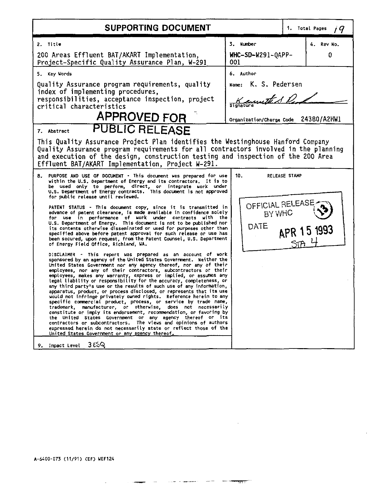| SUPPORTING DOCUMENT                                                                                                                                                                                                                                                                                                                                                                                                                                                                                                                                                                                                                                                                                                                                                                                                                                                                                                                                                                                                                                                                                                                                                                                                                                                                                                                                                                                                                                                                                                                                                                                                                                                                                                                                                                                                                                                                                                                                                                                              |                                                                                                      | 1. Total Pages<br>i 9                      |  |  |  |
|------------------------------------------------------------------------------------------------------------------------------------------------------------------------------------------------------------------------------------------------------------------------------------------------------------------------------------------------------------------------------------------------------------------------------------------------------------------------------------------------------------------------------------------------------------------------------------------------------------------------------------------------------------------------------------------------------------------------------------------------------------------------------------------------------------------------------------------------------------------------------------------------------------------------------------------------------------------------------------------------------------------------------------------------------------------------------------------------------------------------------------------------------------------------------------------------------------------------------------------------------------------------------------------------------------------------------------------------------------------------------------------------------------------------------------------------------------------------------------------------------------------------------------------------------------------------------------------------------------------------------------------------------------------------------------------------------------------------------------------------------------------------------------------------------------------------------------------------------------------------------------------------------------------------------------------------------------------------------------------------------------------|------------------------------------------------------------------------------------------------------|--------------------------------------------|--|--|--|
| 2. Title<br>200 Areas Effluent BAT/AKART Implementation.<br>Project-Specific Quality Assurance Plan, W-291                                                                                                                                                                                                                                                                                                                                                                                                                                                                                                                                                                                                                                                                                                                                                                                                                                                                                                                                                                                                                                                                                                                                                                                                                                                                                                                                                                                                                                                                                                                                                                                                                                                                                                                                                                                                                                                                                                       | 3. Number<br>WHC-SD-W291-0APP-<br>001                                                                | 4. Rev No.<br>0                            |  |  |  |
| 5. Key Words<br>Quality Assurance program requirements, quality<br>index of implementing procedures,<br>responsibilities, acceptance inspection, project<br>critical characteristics<br><b>APPROVED FOR</b><br><b>PUBLIC RELEASE</b><br>7. Abstract                                                                                                                                                                                                                                                                                                                                                                                                                                                                                                                                                                                                                                                                                                                                                                                                                                                                                                                                                                                                                                                                                                                                                                                                                                                                                                                                                                                                                                                                                                                                                                                                                                                                                                                                                              | 6. Author<br><sub>Name:</sub> K. S. Pedersen<br>Keywith S.D.<br>Organization/Charge Code 24380/A2HW1 |                                            |  |  |  |
| This Quality Assurance Project Plan identifies the Westinghouse Hanford Company<br>Quality Assurance program requirements for all contractors involved in the planning<br>and execution of the design, construction testing and inspection of the 200 Area<br>Effluent BAT/AKART Implementation, Project W-291.                                                                                                                                                                                                                                                                                                                                                                                                                                                                                                                                                                                                                                                                                                                                                                                                                                                                                                                                                                                                                                                                                                                                                                                                                                                                                                                                                                                                                                                                                                                                                                                                                                                                                                  |                                                                                                      |                                            |  |  |  |
| 8.<br>PURPOSE AND USE OF DOCUMENT - This document was prepared for use<br>within the U.S. Department of Energy and its contractors. It is to<br>be used only to perform, direct, or integrate work under<br>U.S. Department of Energy contracts. This document is not approved<br>for public release until reviewed.<br>PATENT STATUS - This document copy, since it is transmitted in<br>advance of patent clearance, is made available in confidence solely<br>for use in performance of work under contracts with the<br>U.S. Department of Energy. This document is not to be published nor<br>its contents otherwise disseminated or used for purposes other than<br>specified above before patent approval for such release or use has<br>been secured, upon request, from the Patent Counsel, U.S. Department<br>of Energy Field Office, Richland, WA.<br>DISCLAIMER - This report was prepared as an account of work<br>sponsored by an agency of the United States Government. Weither the<br>United States Government nor any agency thereof, nor any of their<br>employees, nor any of their contractors, subcontractors or their<br>employees, makes any warranty, express or implied, or assumes any<br>legal liability or responsibility for the accuracy, completeness, or<br>any third party's use or the results of such use of any information.<br>apparatus, product, or process disclosed, or represents that its use<br>would not infringe privately owned rights. Reference herein to any<br>specific commercial product, process, or service by trade name,<br>manufacturer, or otherwise, does not necessarily<br>trademark.<br>constitute or imply its endorsement, recommendation, or favoring by<br>the United States Government or any agency thereof or its<br>contractors or subcontractors. The views and opinions of authors<br>expressed herein do not necessarily state or reflect those of the<br>United States Government or any agency thereof.<br>3 ESQ<br>9. Impact Level | 10.<br>OFFICIAL RELEASE<br>BY WHO<br>DATE                                                            | <b>RELEASE STAMP</b><br>APR 15 1993<br>5mH |  |  |  |

 $\frac{1}{2} \left( \frac{1}{2} \left( \frac{1}{2} \left( \frac{1}{2} \right) + \frac{1}{2} \left( \frac{1}{2} \left( \frac{1}{2} \right) + \frac{1}{2} \left( \frac{1}{2} \right) + \frac{1}{2} \left( \frac{1}{2} \right) + \frac{1}{2} \left( \frac{1}{2} \right) + \frac{1}{2} \left( \frac{1}{2} \right) + \frac{1}{2} \left( \frac{1}{2} \right) + \frac{1}{2} \left( \frac{1}{2} \right) + \frac{1}{2} \left( \frac{1}{2} \right) + \$ 

 $\sim$   $\sim$ 

 $\overline{\phantom{a}}$ 

 $\sim 100$  km  $^{-1}$  m  $^{-1}$  appears on the  $\sim$ 

 $\epsilon$ 

 $\sim$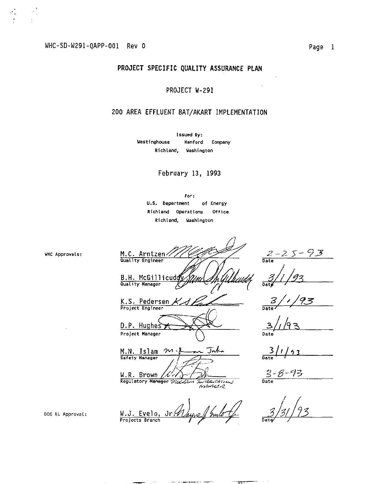### PROJECT SPECIFIC QUALITY ASSURANCE PLAN

### PROJECT W-291

### 200 AREA EFFLUENT BAT/AKART IMPLEMENTATION

Issued By: Westinghouse **Hanford** Company Richland, Washington

February 13, 1993

For: U.S. Department of Energy Richland Operations Office Richland, Washington

タヌ M.C. Arntzen  $\mathcal{Z}$ Date B.H. McGillicud  $\overline{b}$ 93 K.S. Pedersen X D.P. Hughes Project Manager Jaku M.N. Islam  $\frac{3}{12}$  $\gamma$ l 4 3 Safety Manager  $\frac{3 - 8 - 93}{\text{Date}}$ W.R. Brown ' x Regulatory Manager Research Withelations winter W.J. Evelo.  $Jr$ 

DOE RL Approval:

Projects Branch

WHC Approvals: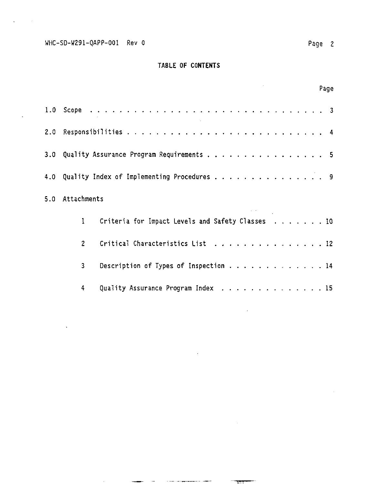## TABLE OF **CONTENTS**

|                 |                                                  | Page |
|-----------------|--------------------------------------------------|------|
|                 |                                                  |      |
|                 |                                                  |      |
|                 | 3.0 Quality Assurance Program Requirements 5     |      |
|                 | 4.0 Quality Index of Implementing Procedures 9   |      |
| 5.0 Attachments |                                                  |      |
| $\mathbf{1}$    | Criteria for Impact Levels and Safety Classes 10 |      |
| $\mathbf{P}$    | Critical Characteristics List 12                 |      |
| 3               | Description of Types of Inspection 14            |      |
| 4               | Quality Assurance Program Index 15               |      |

 $\label{eq:1} \begin{split} \mathcal{L}_{\mathcal{A}}(\mathcal{A}) &\leq \mathcal{L}_{\mathcal{A}}(\mathcal{A}) \leq \mathcal{L}_{\mathcal{A}}(\mathcal{A}) \leq \mathcal{L}_{\mathcal{A}}(\mathcal{A}) \leq \mathcal{L}_{\mathcal{A}}(\mathcal{A}) \leq \mathcal{L}_{\mathcal{A}}(\mathcal{A}) \leq \mathcal{L}_{\mathcal{A}}(\mathcal{A}) \leq \mathcal{L}_{\mathcal{A}}(\mathcal{A}) \leq \mathcal{L}_{\mathcal{A}}(\mathcal{A}) \leq \mathcal{L}_{\mathcal{A}}(\mathcal{A})$ 

T٣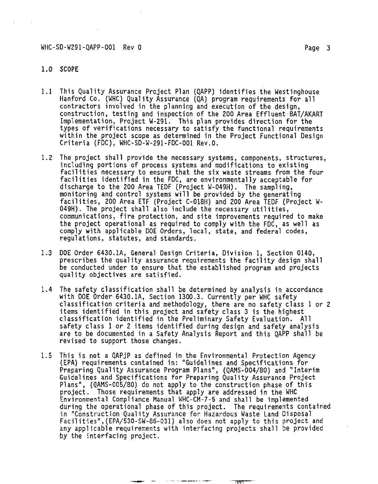#### 1.0 SCOPE

- 1.1 This Quality Assurance Project Plan (QAPP) identifies the Westinghouse Hanford Co. (WHC) Quality Assurance (QA) program requirements for all contractors involved in the planning and execution of the design, construction, testing and inspection of the 200 Area Effluent BAT/AKART Implementation, Project W-291. This plan provides direction for the types of verifications necessary to satisfy the functional requirements within the project scope as determined in the Project Functional Design Criteria (FDC), WHC-SD-W-291-FDC-001 Rev.O.
- 1.2 The project shall provide the necessary systems, components, structures, including portions of process systems and modifications to existing facilities necessary to ensure that the six waste streams from the four facilities identified in the FDC, are environmentally acceptable for discharge to the 200 Area TEDF (Project W-049H). The sampling, monitoring and control systems will be provided by the generating facilities, 200 Area ETF (Project C-018H) and 200 Area TEDF (Project W-049H). The project shall also include the necessary utilities, communications, fire protection, and site improvements required to make the project operational as required to comply with the FDC, as well as comply with applicable DOE Orders, local, state, and federal codes, regulations, statutes, and standards.
- 1.3 DOE Order 6430.1A, General Design Criteria, Division 1, Section 0140, prescribes the quality assurance requirements the facility design shall be conducted under to ensure that the established program and projects quality objectives are satisfied.
- 1.4 The safety classification shall be determined by analysis in accordance with DOE Order 6430.1A, Section 1300.3. Currently per WHC safety classification criteria and methodology, there are no safety class 1 or 2 items identified in this project and safety class 3 is the highest classification identified in the Preliminary Safety Evaluation. All safety class 1 or 2 items identified during design and safety analysis are to be documented in a Safety Analysis Report and this QAPP shall be revised to support those changes.
- 1.5 This is not a QAPjP as defined in the Environmental Protection Agency (EPA) requirements contained in: "Guidelines and Specifications for Preparing Quality Assurance Program Plans", (QAMS-004/80) and "Interim Guidelines and Specifications for Preparing Quality Assurance Project Plans", (QAMS-005/80) do not apply to the construction phase of this project. Those requirements that apply are addressed in the WHC Environmental Compliance Manual WHC-CH-7-5 and shall be implemented during the operational phase of this project. The requirements contained in "Construction Quality Assurance for Hazardous Waste Land Disposal Facilities",(EPA/530-SW-86-031) also does not apply to this project and any applicable requirements with interfacing projects shall be provided by the interfacing project.

TIT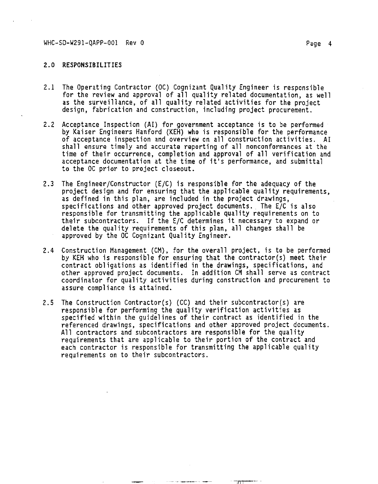- 2.1 The Operating Contractor (OC) Cognizant Quality Engineer is responsible for the review and approval of all quality related documentation, as well as the surveillance, of all quality related activities for the project design, fabrication and construction, including project procurement.
- 2.2 Acceptance Inspection (AI) for government acceptance is to be performed by Kaiser Engineers Hanford (KEH) who is responsible for the performance of acceptance inspection and overview on all construction activities. AI shall ensure timely and accurate reporting of all nonconformances at the time of their occurrence, completion and approval of all verification and acceptance documentation at the time of it's performance, and submittal to the OC prior to project closeout.
- 2.3 The Engineer/Constructor (E/C) is responsible for the adequacy of the project design and for ensuring that the applicable quality requirements, as defined in this plan, are included in the project drawings, specifications and other approved project documents. The E/C is also responsible for transmitting the applicable quality requirements on to their subcontractors. If the E/C determines it necessary to expand or delete the quality requirements of this plan, all changes shall be approved by the OC Cognizant Quality Engineer.
- 2.4 Construction Management (CM), for the overall project, is to be performed by KEH who is responsible for ensuring that the contractor(s) meet their contract obligations as identified in the drawings, specifications, and other approved project documents. In addition CM shall serve as contract coordinator for quality activities during construction and procurement to assure compliance is attained.
- 2.5 The Construction Contractor(s) (CC) and their subcontractor(s) are responsible for performing the quality verification activities as specified within the guidelines of their contract as identified in the referenced drawings, specifications and other approved project documents. All contractors and subcontractors are responsible for the quality requirements that are applicable to their portion of the contract and each contractor is responsible for transmitting the applicable quality requirements on to their subcontractors.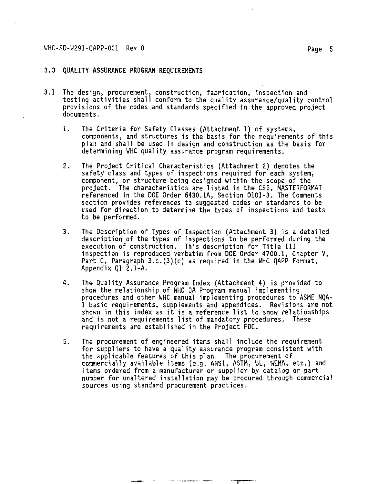#### **3.0 QUALITY ASSURANCE PROGRAM REQUIREMENTS**

- **3.1 The design, procurement, construction, fabrication, inspection and testing activities shall conform to the quality assurance/quality control provisions of the codes and standards specified in the approved project documents.** 
	- **1. The Criteria for Safety Classes (Attachment 1) of systems, components, and structures is the basis for the requirements of this plan and shall be used in design and construction as the basis for determining WHC quality assurance program requirements.**
	- **2. The Project Critical Characteristics (Attachment 2) denotes the safety class and types of inspections required for each system, component, or structure being designed within the scope of the project. The characteristics are listed in the CSI, MASTERFORMAT referenced in the DOE Order 6430.1A, Section 0101-3. The Comments section provides references to suggested codes or standards to be used for direction to determine the types of inspections and tests to be performed.**
	- **3. The Description of Types of Inspection (Attachment 3) is a detailed description of the types of inspections to be performed during the execution of construction. This description for Title III inspection is reproduced verbatim from DOE Order 4700.1, Chapter V, Part C, Paragraph 3.c.(3)(c) as required in the WHC QAPP Format, Appendix QI 2.1-A.**
	- **4. The Quality Assurance Program Index (Attachment 4) is provided to show the relationship of WHC QA Program manual implementing procedures and other WHC manual implementing procedures to ASME NQA-1 basic requirements, supplements and appendices. Revisions are not shown in this index as it is a reference list to show relationships and is not a requirements list of mandatory procedures. These requirements are established in the Project FDC.**
	- **5. The procurement of engineered items shall include the requirement for suppliers to have a quality assurance program consistent with the applicable features of this plan. The procurement of commercially available items (e.g. ANSI, ASTH, UL, NEMA, etc.) and items ordered from a manufacturer or supplier by catalog or part number for unaltered installation may be procured through commercial sources using standard procurement practices.**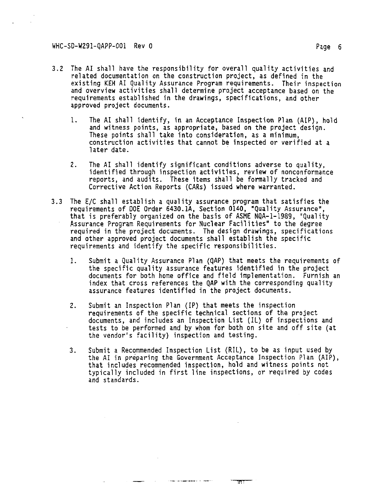- **3.2 The AI shall have the responsibility for overall quality activities and related documentation on the construction project, as defined in the existing KEH AI Quality Assurance Program requirements. Their inspection and overview activities shall determine project acceptance based on the requirements established in the drawings, specifications, and other approved project documents.** 
	- **1. The AI shall identify, in an Acceptance Inspection Plan (AIP), hold and witness points, as appropriate, based on the project design. These points shall take into consideration, as a minimum, construction activities that cannot be inspected or verified at a later date.**
	- **2. The AI shall identify significant conditions adverse to quality, identified through inspection activities, review of nonconformance reports, and audits. These items shall be formally tracked and Corrective Action Reports (CARs) issued where warranted.**
- **3.3 The E/C shall establish a quality assurance program that satisfies the requirements of DOE Order 6430.1A, Section 0140, "Quality Assurance", that is preferably organized on the basis of ASME NQA-1-1989, "Quality Assurance Program Requirements for Nuclear Facilities" to the degree required in the project documents. The design drawings, specifications and other approved project documents shall establish the specific requirements and identify the specific responsibilities.** 
	- **1. Submit a Quality Assurance Plan (QAP) that meets the requirements of the specific quality assurance features identified in the project documents for both home office and field implementation. Furnish an index that cross references the QAP with the corresponding quality assurance features identified in the project documents.**
	- **2. Submit an Inspection Plan (IP) that meets the inspection requirements of the specific technical sections of the project documents, and includes an Inspection List (IL) of inspections and tests to be performed and by whom for both on site and off site (at the vendor's facility) inspection and testing.**
	- **3. Submit a Recommended Inspection List (RIL), to be as input used by the AI in preparing the Government Acceptance Inspection Plan (AIP), that includes recommended inspection, hold and witness points not typically included in first line inspections, or required by codes and standards.**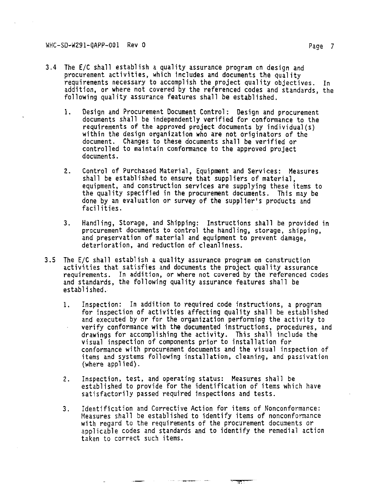- **3.4 The E/C shall establish a quality assurance program on design and procurement activities, which includes and documents the quality requirements necessary to accomplish the project quality objectives. In addition, or where not covered by the referenced codes and standards, the following quality assurance features shall be established.** 
	- **1. Design and Procurement Document Control: Design and procurement documents shall be independently verified for conformance to the requirements of the approved project documents by individual(s) within the design organization who are not originators of the document. Changes to these documents shall be verified or controlled to maintain conformance to the approved project documents.**
	- **2. Control of Purchased Material, Equipment and Services: Measures shall be established to ensure that suppliers of material, equipment, and construction services are supplying these items to the quality specified in the procurement documents. This may be done by an evaluation or survey of the supplier's products and facilities.**
	- **3. Handling, Storage, and Shipping: Instructions shall be provided in procurement documents to control the handling, storage, shipping, and preservation of material and equipment to prevent damage, deterioration, and reduction of cleanliness.**
- **3.5 The E/C shall establish a quality assurance program on construction activities that satisfies and documents the project quality assurance requirements. In addition, or where not covered by the referenced codes and standards, the following quality assurance features shall be established.** 
	- **1. Inspection: In addition to required code instructions, a program for inspection of activities affecting quality shall be established and executed by or for the organization performing the activity to verify conformance with the documented instructions, procedures, and drawings for accomplishing the activity. This shall include the visual inspection of components prior to installation for conformance with procurement documents and the visual inspection of items and systems following installation, cleaning, and passivation (where applied).**
	- **2. Inspection, test, and operating status: Measures shall be established to provide for the identification of items which have satisfactorily passed required inspections and tests.**
	- **3. Identification and Corrective Action for items of Nonconformance: Measures shall be established to identify items of nonconformance with regard to the requirements of the procurement documents or applicable codes and standards and to identify the remedial action taken to correct such items.**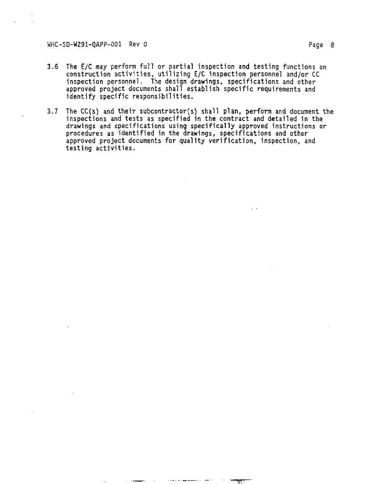- **3.6 The E/C may perform full or partial inspection and testing functions on construction activities, utilizing E/C inspection personnel and/or CC inspection personnel. The design drawings, specifications and other approved project documents shall establish specific requirements and identify specific responsibilities.**
- **3.7 The CC(s) and their subcontractor(s) shall plan, perform and document the inspections and tests as specified in the contract and detailed in the drawings and specifications using specifically approved instructions or procedures as identified in the drawings, specifications and other approved project documents for quality verification, inspection, and testing activities.**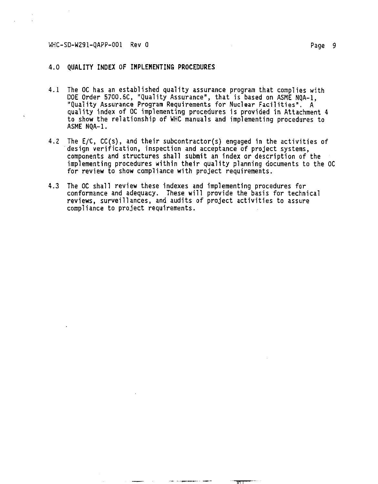#### 4.0 **QUALITY INDEX OF IMPLEMENTING PROCEDURES**

- 4.1 The OC has an established quality assurance program that complies with DOE Order 5700.6C, "Quality Assurance", that is based on ASME NQA-1, "Quality Assurance Program Requirements for Nuclear Facilities". A quality index of OC implementing procedures is provided in Attachment 4 to show the relationship of WHC manuals and implementing procedures to ASME NQA-1.
- 4.2 The E/C, CC(s), and their subcontractor(s) engaged in the activities of design verification, inspection and acceptance of project systems, components and structures shall submit an index or description of the implementing procedures within their quality planning documents to the OC for review to show compliance with project requirements.
- 4.3 The OC shall review these indexes and implementing procedures for conformance and adequacy. These will provide the basis for technical reviews, surveillances, and audits of project activities to assure compliance to project requirements.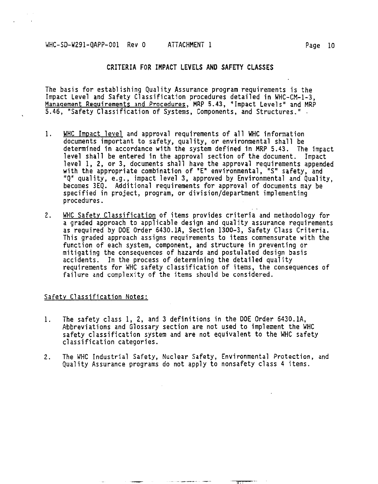The basis for establishing Quality Assurance program requirements is the Impact Level and Safety Classification procedures detailed in WHC-CM-1-3, Management Requirements and Procedures. MRP 5.43, "Impact Levels" and MRP 5.46, "Safety Classification of Systems, Components, and Structures." •

- 1. WHC Impact level and approval requirements of all WHC information documents important to safety, quality, or environmental shall be determined in accordance with the system defined in MRP 5.43. The impact level shall be entered in the approval section of the document. Impact level 1, 2, or 3, documents shall have the approval requirements appended with the appropriate combination of "E" environmental, "S" safety, and "Q" quality, e.g., impact level 3, approved by Environmental and Quality, becomes 3EQ. Additional requirements for approval of documents may be specified in project, program, or division/department implementing procedures.
- 2. WHC Safety Classification of items provides criteria and methodology for a graded approach to applicable design and quality assurance requirements as required by DOE Order 6430.1A, Section 1300-3, Safety Class Criteria. This graded approach assigns requirements to items commensurate with the function of each system, component, and structure in preventing or mitigating the consequences of hazards and postulated design basis accidents. In the process of determining the detailed quality requirements for WHC safety classification of items, the consequences of failure and complexity of the items should be considered.

#### Safety Classification Notes:

- 1. The safety class 1, 2, and 3 definitions in the DOE Order 6430.1A, Abbreviations and Glossary section are not used to implement the WHC safety classification system and are not equivalent to the WHC safety classification categories.
- 2. The WHC Industrial Safety, Nuclear Safety, Environmental Protection, and Quality Assurance programs do not apply to nonsafety class 4 items.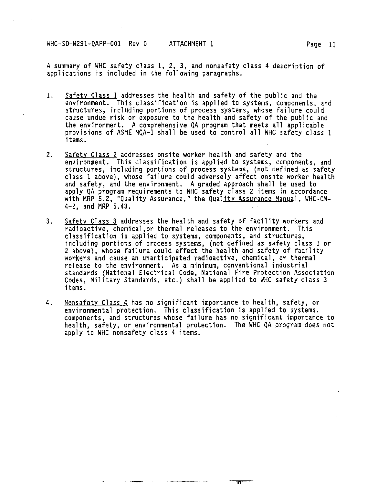**A summary of WHC safety class 1, 2, 3, and nonsafety class 4 description of applications is included in the following paragraphs.** 

- **1. Safety Class 1 addresses the health and safety of the public and the environment. This classification is applied to systems, components, and structures, including portions of process systems, whose failure could cause undue risk or exposure to the health and safety of the public and the environment. A comprehensive QA program that meets all applicable provisions of ASME NQA-1 shall be used to control all WHC safety class 1 items.**
- **2. Safety Class 2 addresses onsite worker health and safety and the environment. This classification is applied to systems, components, and structures, including portions of process systems, (not defined as safety class 1 above), whose failure could adversely affect onsite worker health and safety, and the environment. A graded approach shall be used to apply QA program requirements to WHC safety class 2 items in accordance with MRP 5.2, "Quality Assurance," the Quality Assurance Manual. WHC-CM-4-2, and MRP 5.43.**
- **3. Safety Class 3 addresses the health and safety of facility workers and radioactive, chemical,or thermal releases to the environment. This classification is applied to systems, components, and structures, including portions of process systems, (not defined as safety class 1 or 2 above), whose failure could effect the health and safety of facility workers and cause an unanticipated radioactive, chemical, or thermal release to the environment. As a minimum, conventional industrial standards (National Electrical Code, National Fire Protection Association Codes, Military Standards, etc.) shall be applied to WHC safety class 3 items.**
- **4. Nonsafety Class 4 has no significant importance to health, safety, or environmental protection. This classification is applied to systems, components, and structures whose failure has no significant importance to health, safety, or environmental protection. The WHC QA program does not apply to WHC nonsafety class 4 items.**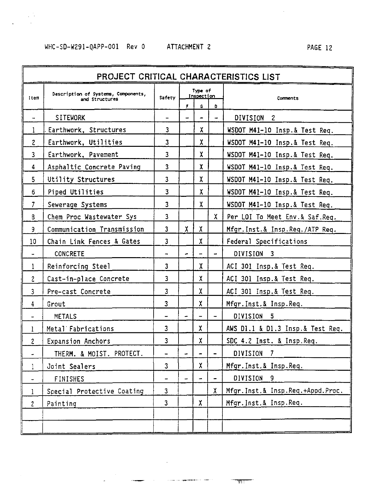## WHC-SD-W291-QAPP-001 Rev 0 ATTACHMENT 2 PAGE 12

 $\frac{1}{\sqrt{2}}$  $\ddot{\phantom{a}}$ 

| PROJECT CRITICAL CHARACTERISTICS LIST |                                                       |                          |                       |                          |                          |                                   |  |  |  |  |
|---------------------------------------|-------------------------------------------------------|--------------------------|-----------------------|--------------------------|--------------------------|-----------------------------------|--|--|--|--|
|                                       |                                                       |                          |                       |                          |                          |                                   |  |  |  |  |
| Item                                  | Description of Systems, Components,<br>and Structures | Safety                   | Type of<br>Inspection |                          |                          | Comments                          |  |  |  |  |
|                                       |                                                       |                          | п                     | G.                       | D                        |                                   |  |  |  |  |
| $\overline{\phantom{a}}$              | SITEWORK                                              | -                        | Ξ.                    | $\hat{\phantom{a}}$      | ۰                        | DIVISION <sub>2</sub>             |  |  |  |  |
| 1                                     | Earthwork, Structures                                 | 3                        |                       | χ                        |                          | WSDOT M41-10 Insp.& Test Req.     |  |  |  |  |
| 2                                     | Earthwork, Utilities                                  | 3                        |                       | х                        |                          | WSDOT M41-10 Insp.& Test Req.     |  |  |  |  |
| 3                                     | Earthwork, Pavement                                   | 3                        |                       | χ                        |                          | WSDOT M41-10 Insp.& Test Req.     |  |  |  |  |
| 4                                     | Asphaltic Concrete Paving                             | 3                        |                       | χ                        |                          | WSDOT M41-10 Insp.& Test Req.     |  |  |  |  |
| 5.                                    | Utility Structures                                    | 3                        |                       | χ                        |                          | WSDOT M41-10 Insp.& Test Req.     |  |  |  |  |
| 6                                     | Piped Utilities                                       | 3                        |                       | χ                        |                          | WSDOT M41-10 Insp.& Test Req.     |  |  |  |  |
| 7                                     | Sewerage Systems                                      | 3                        |                       | χ                        |                          | WSDOT M41-10 Insp.& Test Req.     |  |  |  |  |
| 8                                     | Chem Proc Wastewater Sys                              | 3                        |                       |                          | X.                       | Per LOI To Meet Env.& Saf.Req.    |  |  |  |  |
| 9                                     | Communication Transmission                            | $\overline{3}$           | X.                    | X                        |                          | Mfgr. Inst.& Insp. Req. /ATP Req. |  |  |  |  |
| 10                                    | Chain Link Fences & Gates                             | 3                        |                       | χ                        |                          | Federal Specifications            |  |  |  |  |
| ٠                                     | CONCRETE                                              | $\overline{\phantom{0}}$ |                       | $\rightarrow$            |                          | DIVISION <sub>3</sub>             |  |  |  |  |
| 1                                     | Reinforcing Steel                                     | 3                        |                       | χ                        |                          | ACI 301 Insp.& Test Req.          |  |  |  |  |
| $\overline{c}$                        | Cast-in-place Concrete                                | 3                        |                       | χ                        |                          | ACI 301 Insp.& Test Req.          |  |  |  |  |
| 3                                     | Pre-cast Concrete                                     | 3                        |                       | χ                        |                          | ACI 301 Insp.& Test Req.          |  |  |  |  |
| 4                                     | Grout                                                 | 3                        |                       | x                        |                          | Mfgr.Inst.& Insp.Req.             |  |  |  |  |
|                                       | <b>METALS</b>                                         |                          |                       |                          | $\overline{\phantom{0}}$ | DIVISION 5                        |  |  |  |  |
| 1                                     | Metal Fabrications                                    | 3                        |                       | x                        |                          | AWS D1.1 & D1.3 Insp.& Test Req.  |  |  |  |  |
| 2                                     | Expansion Anchors                                     | 3                        |                       | χ                        |                          | SDC 4.2 Inst. & Insp.Req.         |  |  |  |  |
|                                       | THERM. & MOIST. PROTECT.                              |                          | ÷                     | $\overline{\phantom{0}}$ | $\overline{\phantom{0}}$ | DIVISION 7                        |  |  |  |  |
| L                                     | Joint Sealers                                         | 3                        |                       | x                        |                          | Mfgr.Inst.& Insp.Req.             |  |  |  |  |
| ٠                                     | FINISHES                                              | ٠                        |                       | $\overline{\phantom{0}}$ | $\overline{\phantom{0}}$ | DIVISION <sub>9</sub>             |  |  |  |  |
| 1                                     | Special Protective Coating                            | 3                        |                       |                          | X.                       | Mfgr. Inst.& Insp.Req.+Appd.Proc. |  |  |  |  |
| $\overline{c}$                        | Painting                                              | 3                        |                       | x                        |                          | Mfgr. Inst.& Insp.Req.            |  |  |  |  |
|                                       |                                                       |                          |                       |                          |                          |                                   |  |  |  |  |
|                                       |                                                       |                          |                       |                          |                          |                                   |  |  |  |  |

 $\sim 10^{11}$  km  $^{-1}$ 

**Contract Contract**  $\overline{\phantom{a}}$ 

<u> 1995 - Andrew Amerikaanse Steaten van die Vergrense van die Vergrense van die Vergrense van die Vergrense van die Vergrense van die Vergrense van die Vergrense van die Vergrense van die Vergrense van die Vergrense van di</u>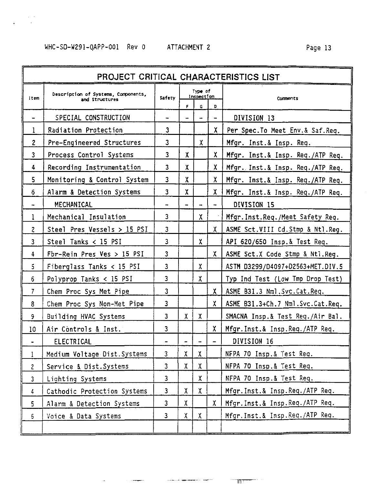## WHC-SD-W291-QAPP-001 Rev 0 ATTACHMENT 2 Page 13

 $\alpha\rightarrow$  $\bar{a}$ 

|                      | PROJECT CRITICAL CHARACTERISTICS LIST                 |        |    |                       |                |                                     |  |  |  |  |  |
|----------------------|-------------------------------------------------------|--------|----|-----------------------|----------------|-------------------------------------|--|--|--|--|--|
| Item                 | Description of Systems, Components,<br>and Structures | Safety |    | Type of<br>Inspection |                | Comments                            |  |  |  |  |  |
|                      |                                                       |        | F. | G                     | D              |                                     |  |  |  |  |  |
|                      | SPECIAL CONSTRUCTION                                  | ۰      |    |                       | $\overline{a}$ | DIVISION 13                         |  |  |  |  |  |
| 1                    | Radiation Protection                                  | 3      |    |                       | X.             | Per Spec.To Meet Env.& Saf.Req.     |  |  |  |  |  |
| $\overline{c}$       | Pre-Engineered Structures                             | 3      |    | x                     |                | Mfgr. Inst.& Insp. Req.             |  |  |  |  |  |
| 3                    | Process Control Systems                               | 3      | X. |                       | X.             | Mfgr. Inst.& Insp. Req./ATP Req.    |  |  |  |  |  |
| 4                    | Recording Instrumentation                             | 3      | χ  |                       | х              | Mfgr. Inst.& Insp. Req./ATP Req.    |  |  |  |  |  |
| 5                    | Monitoring & Control System                           | 3      | X  |                       | х              | Mfgr. Inst.& Insp. Req./ATP Req.    |  |  |  |  |  |
| 6                    | Alarm & Detection Systems                             | 3      | X  |                       | X.             | Mfgr. Inst.& Insp. Req./ATP Req.    |  |  |  |  |  |
|                      | MECHANICAL                                            | -      | 4  |                       | $\overline{a}$ | DIVISION 15                         |  |  |  |  |  |
| 1                    | Mechanical Insulation                                 | 3      |    | X.                    |                | Mfgr. Inst. Req./Meet Safety Req.   |  |  |  |  |  |
| $\overline{c}$       | Steel Pres Vessels $> 15$ PSI                         | 3      |    |                       | X.             | ASME Sct.VIII Cd.Stmp & Ntl.Reg.    |  |  |  |  |  |
| 3                    | Steel Tanks < 15 PSI                                  | 3      |    | x                     |                | API 620/650 Insp.& Test Req.        |  |  |  |  |  |
| 4                    | Fbr-Rein Pres Ves $> 15$ PSI                          | 3      |    |                       | X.             | ASME Sct.X Code Stmp & Ntl.Req.     |  |  |  |  |  |
| 5                    | Fiberglass Tanks < 15 PSI                             | 3      |    | x                     |                | ASTM D3299/D4097+D2563+MET.DIV.5    |  |  |  |  |  |
| 6                    | Polyprop Tanks < 15 PSI                               | 3      |    | χ                     |                | Typ Ind Test (Low Tmp Drop Test)    |  |  |  |  |  |
| 7                    | Chem Proc Sys Met Pipe                                | 3      |    |                       | Х.             | ASME B31.3 Nml.Svc.Cat.Req.         |  |  |  |  |  |
| 8                    | Chem Proc Sys Non-Met Pipe                            | 3      |    |                       | X.             | ASME B31.3+Ch.7 Nml.Svc.Cat.Req.    |  |  |  |  |  |
| 9                    | Building HVAC Systems                                 | 3      | x  | x                     |                | SMACNA Insp.& Test Req./Air Bal.    |  |  |  |  |  |
| 10                   | Air Controls & Inst.                                  | 3      |    |                       | X.             | Mfgr. Inst.& Insp. Req./ATP Req.    |  |  |  |  |  |
| $\ddot{\phantom{a}}$ | ELECTRICAL                                            | ۰      |    | $\sim$                | $\overline{a}$ | DIVISION 16                         |  |  |  |  |  |
| 1                    | Medium Voltage Dist. Systems                          | 3      | x  | X.                    |                | NFPA 70 Insp.& Test Req.            |  |  |  |  |  |
| 2                    | Service & Dist. Systems                               | 3      | χ  | X                     |                | NFPA 70 Insp.& Test Req.            |  |  |  |  |  |
| 3                    | Lighting Systems                                      | 3      |    | x                     |                | NFPA 70 Insp.& Test Req.            |  |  |  |  |  |
| 4                    | Cathodic Protection Systems                           | 3      | X  | X.                    |                | Mfgr.Inst.& Insp.Req./ATP Req.      |  |  |  |  |  |
| 5                    | Alarm & Detection Systems                             | 3      | χ  |                       | X.             | Mfgr. Inst.& Insp. Req./ATP Req.    |  |  |  |  |  |
| 6                    | Voice & Data Systems                                  | 3      | X  | X.                    |                | Mfgr. Inst. & Insp. Req. / ATP Req. |  |  |  |  |  |
|                      |                                                       |        |    |                       |                |                                     |  |  |  |  |  |

**Contract Contract Contract of** 

 $\ddot{\phantom{a}}$ 

and the company

 $\sim$  TH  $\sim$ 

a.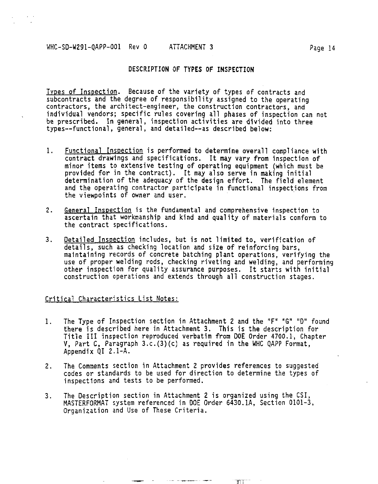#### WHC-SD-W291-QAPP-001 Rev 0 ATTACHMENT 3 Page 14

#### **DESCRIPTION OF TYPES OF INSPECTION**

Types of Inspection. Because of the variety of types of contracts and subcontracts and the degree of responsibility assigned to the operating contractors, the architect-engineer, the construction contractors, and individual vendors; specific rules covering all phases of inspection can not be prescribed. In general, inspection activities are divided into three types—functional, general, and detailed—as described below:

- 1. Functional Inspection is performed to determine overall compliance with contract drawings and specifications. It may vary from inspection of minor items to extensive testing of operating equipment (which must be provided for in the contract). It may also serve in making initial determination of the adequacy of the design effort. The field element and the operating contractor participate in functional inspections from the viewpoints of owner and user.
- 2. General Inspection is the fundamental and comprehensive inspection to ascertain that workmanship and kind and quality of materials conform to the contract specifications.
- 3. Detailed Inspection includes, but is not limited to, verification of details, such as checking location and size of reinforcing bars, maintaining records of concrete batching plant operations, verifying the use of proper welding rods, checking riveting and welding, and performing other inspection for quality assurance purposes. It starts with initial construction operations and extends through all construction stages.

#### Critical Characteristics List Notes:

- 1. The Type of Inspection section in Attachment 2 and the "F" "G" "D" found there is described here in Attachment 3. This is the description for Title III inspection reproduced verbatim from DOE Order 4700.1, Chapter V, Part C, Paragraph 3.c.(3)(c) as required in the WHC QAPP Format, Appendix QI 2.1-A.
- 2. The Comments section in Attachment 2 provides references to suggested codes or standards to be used for direction to determine the types of inspections and tests to be performed.
- 3. The Description section in Attachment 2 is organized using the CSI, MASTERFORMAT system referenced in DOE Order 6430.1A, Section 0101-3, Organization and Use of These Criteria.

 $T^{\dagger}$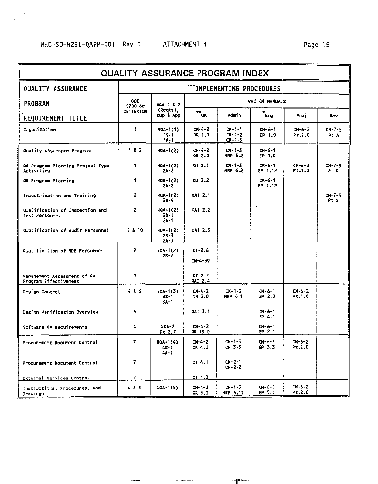$\sim$ 

 $\mathcal{F}_{\mathcal{A}}$  $\frac{1}{\sqrt{2}}$ 

 $\cdot$ 

| <b>QUALITY ASSURANCE PROGRAM INDEX</b>                |                          |                                       |                                       |                                          |                              |                        |                      |  |  |  |
|-------------------------------------------------------|--------------------------|---------------------------------------|---------------------------------------|------------------------------------------|------------------------------|------------------------|----------------------|--|--|--|
| QUALITY ASSURANCE                                     |                          |                                       |                                       | ""IMPLEMENTING PROCEDURES                |                              |                        |                      |  |  |  |
| PROGRAM                                               | DOE<br>5700.60           | NOA-1 & 2                             | <b>WHC CM MANUALS</b><br>$r_{\alpha}$ |                                          |                              |                        |                      |  |  |  |
| REQUIREMENT TITLE                                     | <b>CRITERION</b>         | (Regts),<br>Sup & App                 |                                       | Admin                                    | $\overline{\phantom{a}}$ Eng | Proj                   | Env                  |  |  |  |
| Organization                                          | 1                        | NGA-1(1)<br>$15 - 1$<br>$1A-1$        | $01 - 4 - 2$<br>OR 1.0                | $CH-1-1$<br>$C1 - 1 - 2$<br>$C1 - 1 - 3$ | $C1 - 6 - 1$<br>EP 1.0       | $CM - 6 - 2$<br>Pt.1.0 | CN-7-5<br>Pt A       |  |  |  |
| Quality Assurance Program                             | $182$                    | <b>NOA-1(2)</b>                       | $C1 - 4 - 2$<br>QR 2.0                | $C1 - 1 - 3$<br><b>MRP 5.2</b>           | $CM-6-1$<br>EP 1.0           |                        |                      |  |  |  |
| OA Program Planning Project Type<br><b>Activities</b> | 1                        | <b>NOA-1(2)</b><br>24-2               | 91 2.1                                | $CN - 1 - 3$<br>HRP 6.2                  | $CM - 6 - 1$<br>EP 1.12      | $CM - 6 - 2$<br>Pt.1.0 | $CM - 7 - 5$<br>Pt O |  |  |  |
| 0A Program Planning                                   | 1                        | NOA-1(2)<br>$2A - 2$                  | 912.2                                 |                                          | $C1 - 6 - 1$<br>EP 1.12      |                        |                      |  |  |  |
| Indoctrination and Training                           | 2                        | NOA-1(2)<br>$2s - 4$                  | 0A1 2.1                               |                                          |                              |                        | $C1 - 7 - 5$<br>Pt S |  |  |  |
| Qualification of Inspection and<br>Test Personnel     | $\overline{\mathbf{z}}$  | NOA-1(2)<br>$2S - 1$<br>$24 - 1$      | 0AI 2.2                               |                                          |                              |                        |                      |  |  |  |
| Qualification of Audit Personnel                      | 2 & 10                   | NOA-1(2)<br>$2s - 3$<br>$24 - 3$      | 0AI 2.3                               |                                          |                              |                        |                      |  |  |  |
| Qualification of NDE Personnel                        | 2                        | NOA-1(2)<br>$2s - 2$                  | $01 - 2.6$<br>$C1 - 4 - 39$           |                                          |                              |                        |                      |  |  |  |
| Management Assessment of QA<br>Program Effectiveness  | 9                        |                                       | 912.7<br>QAT 2.4                      |                                          |                              |                        |                      |  |  |  |
| Oesign Control                                        | 486                      | NOA-1(3)<br>$3S - 1$<br>$3A - 1$      | $C1 - 4 - 2$<br>OR 3.0                | $CM - 1 - 3$<br><b>MRP 6.1</b>           | $CM-6-1$<br>EP 2.0           | $C1 - 6 - 2$<br>Pt.1.0 |                      |  |  |  |
| Design Verification Overview                          | 6                        |                                       | QAI 3.1                               |                                          | $CM - 6 - 1$<br>EP 4.1       |                        |                      |  |  |  |
| Software QA Requirements                              | 4                        | $NQA - 2$<br>Pt 2.7                   | $DI-4-2$<br>QR 19.0                   |                                          | $CM - 6 - 1$<br>EP 2.1       |                        |                      |  |  |  |
| Procurement Document Control                          | 7                        | <b>NOA-1(4)</b><br>$4S - 1$<br>$4A-1$ | $D1 - 4 - 2$<br>QR 4.0                | $CM-1-3$<br>$C1.3 - 5$                   | $CM - 6 - 1$<br>EP 3.3       | $CM-6-2$<br>Pt.2.0     |                      |  |  |  |
| Procurement Document Control                          | $\overline{7}$           |                                       | 914.1                                 | $CM - 2 - 1$<br>$CM - 2 - 2$             |                              |                        |                      |  |  |  |
| External Services Control                             | $\overline{\phantom{a}}$ |                                       | 014.2                                 |                                          |                              |                        |                      |  |  |  |
| Instructions, Procedures, and<br>Drawings             | 4 & 5                    | NOA-1(5)                              | $01 - 4 - 2$<br>QR 5.0                | $C = 1 - 3$<br>MRP 6.11                  | $CM-6-1$<br>EP 5.1           | $CM-6-2$<br>Pt:2.0     |                      |  |  |  |

**Contact of the Company of the Company of the Company of the Company of the Company of the Company of the Company** 

**—FT**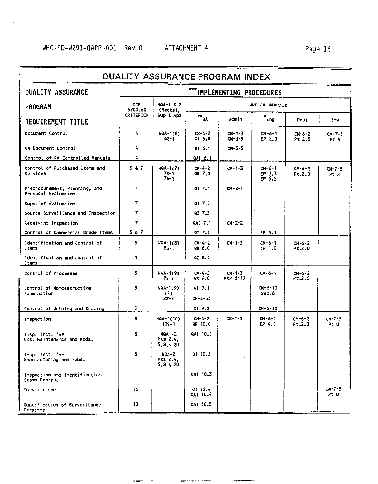| QUALITY ASSURANCE PROGRAM INDEX                      |                  |                                   |                                               |                                |                                  |                         |                     |  |  |  |
|------------------------------------------------------|------------------|-----------------------------------|-----------------------------------------------|--------------------------------|----------------------------------|-------------------------|---------------------|--|--|--|
| <b>OUALITY ASSURANCE</b>                             |                  |                                   |                                               | <b>IMPLEMENTING PROCEDURES</b> |                                  |                         |                     |  |  |  |
| PROGRAM                                              | DOE<br>5700.6C   | <b>NOA-1 &amp; 2</b><br>(Regts),  | <b>UNC CM MANUALS</b><br>$\bar{m}_{\alpha A}$ |                                |                                  |                         |                     |  |  |  |
| REQUIREMENT TITLE                                    | <b>CRITERION</b> | Sup & App                         |                                               | Admin                          | $\epsilon_{\text{ng}}$           | Proi                    | Env                 |  |  |  |
| Document Control                                     | 4                | NOA-1(6)<br>6S-1                  | $C1 - 4 - 2$<br>OR 6.0                        | $C1 - 1 - 3$<br>$C1 - 3 - 5$   | $C1 - 6 - 1$<br>EP 2.0           | $CM-6-2$<br>Pt.2.0      | $CM-7-5$<br>Pt V    |  |  |  |
| GA Document Control                                  | 4                |                                   | QI 6.1                                        | $01 - 3 - 5$                   |                                  |                         |                     |  |  |  |
| Control of QA Controlled Manuals                     | 4                |                                   | QAI 6.1                                       |                                |                                  |                         |                     |  |  |  |
| Control of Purchased Items and<br>Services           | 587              | NGA-1(7)<br>$7s - 1$<br>$7A - 1$  | CH-4-2<br>OR 7.0                              | $C1 - 1 - 3$                   | $C1 - 6 - 1$<br>EP 3.3<br>EP 5.5 | $CM-6-2$<br>Pt.2.0      | $CM-7-5$<br>Pt R    |  |  |  |
| Preprocurement, Planning, and<br>Proposal Evaluation | $\overline{ }$   |                                   | of 7.1                                        | $C1 - 2 - 1$                   |                                  |                         |                     |  |  |  |
| Supplier Evaluation                                  | 7                |                                   | $Q1 \t7.2$                                    |                                |                                  |                         |                     |  |  |  |
| Source Surveillance and Inspection                   | $\overline{7}$   |                                   | of 7.3                                        |                                |                                  |                         |                     |  |  |  |
| Receiving Inspection                                 | $\overline{7}$   |                                   | QAI 7.1                                       | $C1 - 2 - 2$                   |                                  |                         |                     |  |  |  |
| Control of Commercial Grade Items                    | 587              |                                   | 01 7.5                                        |                                | EP 5.3                           |                         |                     |  |  |  |
| Identification and Control of<br>Items               | 5                | NQA-1(8)<br>$8s - 1$              | $C1 - 4 - 2$<br>OR 8.0                        | $C1 - 1 - 3$                   | $C1 - 6 - 1$<br>EP 1.0           | $CM-6-2$<br>Pt.2.0      |                     |  |  |  |
| Identification and control of<br>Items               | 5                |                                   | 01 8.1                                        |                                |                                  |                         |                     |  |  |  |
| Control of Processes                                 | 5                | <b>NGA-1(9)</b><br>95-1           | $C1 - 4 - 2$<br>GR 9.0                        | $CH-1-3$<br><b>HRP 6-10</b>    | $C1 - 6 - 1$                     | $C11 - 6 - 2$<br>Pt.2.0 |                     |  |  |  |
| Control of Nondestructive<br>Examination             | 5                | NQA-1(9)<br>(2)<br>$25 - 2$       | QI 9.1<br>$CM - 4 - 38$                       |                                | $C1 - 6 - 10$<br>Sec.8           |                         |                     |  |  |  |
|                                                      | 5                |                                   | QI 9.2                                        |                                | $CM - 6 - 10$                    |                         |                     |  |  |  |
| Control of Welding and Brazing                       | s                |                                   |                                               |                                |                                  |                         |                     |  |  |  |
| Inspection                                           |                  | NQA-1(10)<br>$10s - 1$            | $C1 - 4 - 2$<br>OR 10.0                       | $C1 - 1 - 3$                   | $CM - 6 - 1$<br>EP 4.1           | $C_{N-S-2}$<br>Pt.2.0   | $CM-7-5$<br>Pt U    |  |  |  |
| insp. Inst. for<br>Ops. Maintenance and Hods.        | 8                | $NQA - 2$<br>Pts 2.4,<br>5,8,8,20 | 0AT 10.1                                      |                                |                                  |                         |                     |  |  |  |
| Insp. Inst. for<br>Manufacturing and Fabs.           | 8                | $NCA-2$<br>Pts 2.4.<br>5.8.4 20   | of 10.2                                       |                                |                                  |                         |                     |  |  |  |
| Inspection and Identification<br>Stamp Control       |                  |                                   | 0AI 10.3                                      |                                |                                  |                         |                     |  |  |  |
| Surveillance                                         | 10               |                                   | QI 10.4<br>QAI 10.4                           |                                |                                  |                         | $C - 7 - 5$<br>Pt U |  |  |  |
| Qualification of Surveillance<br>Personnel           | 10               |                                   | QAI 10.5                                      |                                |                                  |                         |                     |  |  |  |

ببيه

**TITT**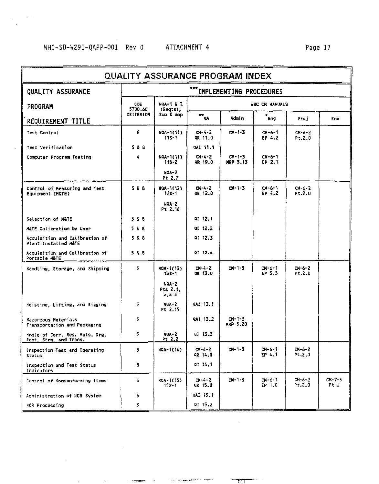| <b>QUALITY ASSURANCE PROGRAM INDEX</b>                   |                  |                                  |                                                                      |                                 |                        |                        |                  |  |  |  |  |
|----------------------------------------------------------|------------------|----------------------------------|----------------------------------------------------------------------|---------------------------------|------------------------|------------------------|------------------|--|--|--|--|
| QUALITY ASSURANCE                                        |                  |                                  |                                                                      | IMPLEMENTING PROCEDURES         |                        |                        |                  |  |  |  |  |
| PROGRAM                                                  | DOE<br>5700.6C   | <b>NGA-1 &amp; 2</b><br>(Regts), | <b>VHC CK HANUALS</b>                                                |                                 |                        |                        |                  |  |  |  |  |
| REQUIREMENT TITLE                                        | <b>CRITERION</b> | Sup & App                        | $\overline{\phantom{a}}^{\phantom{\dagger}}_{\phantom{\dagger}}$ and | Admin                           | $r_{Eng}$              | Proj                   | Env              |  |  |  |  |
| Test Control                                             | 8                | NOA-1(11)<br>$11S - 1$           | $01 - 4 - 2$<br>QR 11.0                                              | $C1 - 1 - 3$                    | $CM - 6 - 1$<br>EP 4.2 | $C1 - 6 - 2$<br>Pt.2.0 |                  |  |  |  |  |
| Test Verification                                        | 528              |                                  | DA1 11.1                                                             |                                 |                        |                        |                  |  |  |  |  |
| Computer Program Testing                                 | 4                | NOA-1(11)<br>$11s - 2$           | $C1 - 4 - 2$<br>ok 19.0                                              | $C1 - 1 - 3$<br>MRP 3.13        | $CM - 6 - 1$<br>EP 2.1 |                        |                  |  |  |  |  |
|                                                          |                  | $NQA - 2$<br>Pt 2.7              |                                                                      |                                 |                        |                        |                  |  |  |  |  |
| Control of Measuring and Test<br>Equipment (M&TE)        | 588              | HQA-1(12)<br>$12S - 1$           | $C1 - 4 - 2$<br>QR 12.0                                              | $24 - 1 - 3$                    | $C - 6 - 1$<br>EP 4.2  | $CM - 6 - 2$<br>Pt.2.0 |                  |  |  |  |  |
|                                                          |                  | $NQA-2$<br>Pt 2.16               |                                                                      |                                 |                        |                        |                  |  |  |  |  |
| Selection of M&TE                                        | 5 & 8            |                                  | QI 12.1                                                              |                                 |                        |                        |                  |  |  |  |  |
| M&TE Calibration by User                                 | 5 & 8            |                                  | QI 12.2                                                              |                                 |                        |                        |                  |  |  |  |  |
| Acquisition and Calibration of<br>Plant Installed M&TE   | 5 & 8            |                                  | QI 12.3                                                              |                                 |                        |                        |                  |  |  |  |  |
| Acquisition and Calibration of<br>Portable M&TE          | 528              |                                  | al 12.4                                                              |                                 |                        |                        |                  |  |  |  |  |
| Handling, Storage, and Shipping                          | 5                | NOA-1(13)<br>$13s - 1$           | $C1 - 4 - 2$<br>OR 13.0                                              | $C1 - 1 - 3$                    | $CM - 6 - 1$<br>EP 5.5 | $C1 - 6 - 2$<br>Pt.2.0 |                  |  |  |  |  |
|                                                          |                  | $NOA-2$<br>Pts 2.1,<br>2.83      |                                                                      |                                 |                        |                        |                  |  |  |  |  |
| Hoisting, Lifting, and Rigging                           | 5                | $NOA - 2$<br>Pt 2.15             | QAI 13.1                                                             |                                 |                        |                        |                  |  |  |  |  |
| Hazardous Materials<br>Transportation and Packaging      | 5                |                                  | QAI 13.2                                                             | $CM - 1 - 3$<br><b>MRP 5.20</b> |                        |                        |                  |  |  |  |  |
| Hndig of Corr. Res. Mats. Drg.<br>Rept, Strg, and Trans. | 5                | $NOA-2$<br>Pt 2.2                | 91 13.3                                                              |                                 |                        |                        |                  |  |  |  |  |
| Inspection Test and Operating<br>Status                  | 8                | NOA-1(14)                        | $O(-4 - 2)$<br>QR 14.0                                               | $01 - 1 - 3$                    | $C1 - 6 - 1$<br>EP 4.1 | $CM - 6 - 2$<br>Pt.2.0 |                  |  |  |  |  |
| Inspection and Test Status<br>Indicators                 | 8                |                                  | 01 14.1                                                              |                                 |                        |                        |                  |  |  |  |  |
| Control of Nonconforming Items                           | 3                | NQA-1(15)<br>$15s - 1$           | $C1 - 4 - 2$<br>GR 15.0                                              | $C1 - 1 - 3$                    | $CM - 6 - 1$<br>EP 1.0 | $CM-6-2$<br>Pt, 2.0    | $CH-7-5$<br>Pt U |  |  |  |  |
| Administration of NCR System                             | 3                |                                  | QAI 15.1                                                             |                                 |                        |                        |                  |  |  |  |  |
| NCR Processing                                           | 3                |                                  | 91 15.2                                                              |                                 |                        |                        |                  |  |  |  |  |

 $\sim$   $\sim$ 

 $\ddot{\phantom{a}}$ 

 $\mathcal{A}_{\mathcal{A}}$  . The constraint propagation of the state of

 $-$ m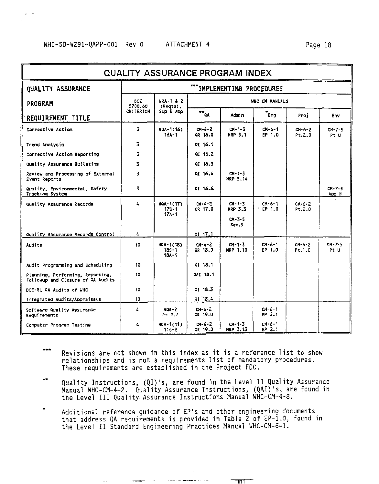#### Page 18

| QUALITY ASSURANCE PROGRAM INDEX                                       |                  |                                            |                            |                                 |                        |                        |                      |  |  |  |
|-----------------------------------------------------------------------|------------------|--------------------------------------------|----------------------------|---------------------------------|------------------------|------------------------|----------------------|--|--|--|
| <b>OUALITY ASSURANCE</b>                                              |                  |                                            |                            | IMPLEMENTING PROCEDURES         |                        |                        |                      |  |  |  |
| PROGRAM                                                               | DOE<br>5700.60   | NOA-1 & 2<br>(Regts),                      |                            |                                 | <b>WHC CM MANUALS</b>  |                        |                      |  |  |  |
| REQUIREMENT TITLE                                                     | <b>CRITERION</b> | Sup & App                                  | $H_{\alpha}$               | Adrin                           | * <sub>Eng</sub>       | Proj                   | Env                  |  |  |  |
| Corrective Action                                                     | 3                | NOA-1(16)<br>16A-1                         | $CH-4-2$<br>GR 16.0        | $C1 - 1 - 3$<br><b>MRP 5.1</b>  | $CH - 6 - 1$<br>EP 1.0 | $C - 6 - 2$<br>P1.2.0  | $CM - 7 - 5$<br>Pt U |  |  |  |
| Trend Analysis                                                        | 3                |                                            | OI 16.1                    |                                 |                        |                        |                      |  |  |  |
| Corrective Action Reporting                                           | 3                |                                            | of 16.2                    |                                 |                        |                        |                      |  |  |  |
| Quality Assurance Bulletins                                           | 3                |                                            | QI 16.3                    |                                 |                        |                        |                      |  |  |  |
| Review and Processing of External<br><b>Event Reports</b>             | 3                |                                            | 01, 16.4                   | $C1 - 1 - 3$<br>HRP 5.14        |                        |                        |                      |  |  |  |
| Quality, Environmental, Safety<br>Tracking System                     | 3                |                                            | 01 16.6                    |                                 |                        |                        | $CH-7-5$<br>App H    |  |  |  |
| Quality Assurance Records                                             | 4                | <b>NOA-1(17)</b><br>$17s - 1$<br>$17A - 1$ | $C1 - 4 - 2$<br>or 17.0    | $C1 - 1 - 5$<br>MRP 3.3         | $CH-6-1$<br>FP 1.0     | $CM - 6 - 2$<br>Pt.2.0 |                      |  |  |  |
|                                                                       |                  |                                            |                            | $CM - 3 - 5$<br>Sec.9           |                        |                        |                      |  |  |  |
| Quality Assurance Records Control                                     | 4                |                                            | at 17.1                    |                                 |                        |                        |                      |  |  |  |
| Audits                                                                | 10               | HOA-1(18)<br>$18S - 1$<br>$18A - 1$        | $C1 - 4 - 2$<br>OR 18.0    | $CM - 1 - 3$<br><b>HRP 1.10</b> | $C1 - 6 - 1$<br>FP 1.0 | $CM - 6 - 2$<br>Pt.1.0 | $CM-7-5$<br>Pt U     |  |  |  |
| Audit Programming and Scheduling                                      | 10               |                                            | 01, 18, 1                  |                                 |                        |                        |                      |  |  |  |
| Planning, Performing, Reporting,<br>Followup and Closure of CA Audits | 10               |                                            | QAI 18.1                   |                                 |                        |                        |                      |  |  |  |
| DOE-RL GA Audits of WHC                                               | 10               |                                            | 01 18.3                    |                                 |                        |                        |                      |  |  |  |
| Integrated Audits/Appraisals                                          | 10               |                                            | 01 18.4                    |                                 |                        |                        |                      |  |  |  |
| Software Quality Assurance<br>Requirements                            | 4                | $NOA - 2$<br>Pt 2.7                        | $0 - 4 - 2$<br>GR 19.0     |                                 | CM-6-1<br>EP 2.1       |                        |                      |  |  |  |
| Computer Program Testing                                              | 4                | NGA-1(11)<br>$11s - 2$                     | $C_{1} - 4 - 2$<br>QR 19.0 | $C1 - 1 - 3$<br>MRP 3.13        | CH-6-1<br>EP 2.1       |                        |                      |  |  |  |

- $***$ Revisions are not shown in this index as it is a reference list to show relationships and is not a requirements list of mandatory procedures. These requirements are established in the Project FDC.
- 44 Quality Instructions, (QI)'s, are found in the Level II Quality Assurance Manual WHC-CM-4-2. Quality Assurance Instructions, (QAI)'s, are found in<br>the Level III Quality Assurance Instructions Manual WHC-CM-4-8.
- Additional reference guidance of EP's and other engineering documents that address QA requirements is provided in Table 2 of EP-1.0, found in the Level II Standard Engineering Practices Manual WHC-CM-6-1.

וחד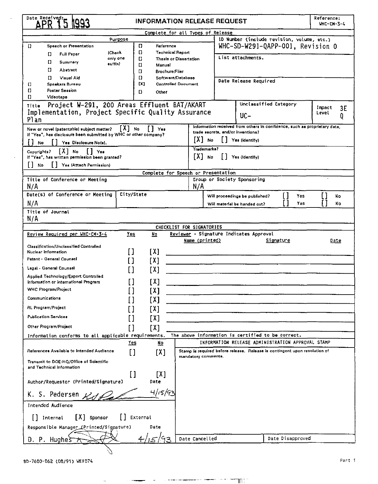| Date Received                                                        | <b>INFORMATION RELEASE REQUEST</b> |                                     |                                  |                                                                            |                  | Reference:<br><b>UHC-CH-3-4</b> |
|----------------------------------------------------------------------|------------------------------------|-------------------------------------|----------------------------------|----------------------------------------------------------------------------|------------------|---------------------------------|
|                                                                      |                                    | Complete for all Types of Release   |                                  |                                                                            |                  |                                 |
| Purpose                                                              |                                    |                                     |                                  | ID Number (include revision, volume, etc.)                                 |                  |                                 |
| $\Omega$<br>Speech or Presentation                                   | $\mathbf{L}$<br>Reference          |                                     | WHC-SD-W291-QAPP-001, Revision 0 |                                                                            |                  |                                 |
| (Check<br>α<br><b>Full Paper</b>                                     | o<br><b>Technical Report</b>       |                                     | List attachments.                |                                                                            |                  |                                 |
| only one<br>Π<br>Summary<br>suffix)                                  | L)<br>O<br>Manual                  | Thesis or Dissertation              |                                  |                                                                            |                  |                                 |
| п<br>Abstract                                                        | $\mathbf{u}$<br>Brochure/Flier     |                                     |                                  |                                                                            |                  |                                 |
| $\mathbf{C}$<br>Visual Aid                                           | IJ<br>Software/Database            |                                     |                                  |                                                                            |                  |                                 |
| Speakers Bureau<br>$\mathbf{L}$                                      | [X]                                | <b>Controlled Document</b>          |                                  | Date Release Required                                                      |                  |                                 |
| $\mathbf{L}$<br><b>Poster Session</b>                                | $\mathbf{D}$<br>Other              |                                     |                                  |                                                                            |                  |                                 |
| O<br>Videotape                                                       |                                    |                                     |                                  |                                                                            |                  |                                 |
| Project W-291, 200 Areas Effluent BAT/AKART<br>Title                 |                                    |                                     |                                  | Unclassified Category                                                      |                  | Impact<br>3Е                    |
| Implementation, Project Specific Quality Assurance                   |                                    |                                     |                                  | uc-                                                                        |                  | Level<br>0                      |
| Plan                                                                 |                                    |                                     |                                  |                                                                            |                  |                                 |
| New or novel (patentable) subject matter?                            | [X] No<br>$[]$ Yes                 |                                     |                                  | Information received from others in confidence, such as proprietary data,  |                  |                                 |
| If "Yes", has disclosure been submitted by WHC or other company?     |                                    |                                     |                                  | trade secrets, and/or inventions?                                          |                  |                                 |
| Yes Disclosure Notel.<br>No                                          |                                    | JX] No                              |                                  | Yes (identify)                                                             |                  |                                 |
| [X] No<br>Copyrights?<br>$\lfloor \cdot \rfloor$ Yes                 |                                    | Trademarks?                         |                                  |                                                                            |                  |                                 |
| If "Yes", has written permission been pranted?                       |                                    | ГХ] ко                              |                                  | Ves (Identify)                                                             |                  |                                 |
| Yes (Attach Permission)<br>l∣ No                                     |                                    |                                     |                                  |                                                                            |                  |                                 |
|                                                                      |                                    | Complete for Speech or Presentation |                                  |                                                                            |                  |                                 |
| Title of Conference or Meeting                                       |                                    |                                     |                                  | Group or Society Sponsoring                                                |                  |                                 |
| N/A                                                                  |                                    | N/A                                 |                                  |                                                                            |                  |                                 |
| Date(s) of Conference or Meeting                                     | City/State                         |                                     |                                  | Will proceedings be published?                                             | Yes              | <b>No</b>                       |
| N/A                                                                  |                                    |                                     |                                  | Will material be handed out?                                               | Yes              | <b>No</b>                       |
| Title of Journal                                                     |                                    |                                     |                                  |                                                                            |                  |                                 |
| N/A                                                                  |                                    |                                     |                                  |                                                                            |                  |                                 |
|                                                                      |                                    | CHECKLIST FOR SIGNATORIES           |                                  |                                                                            |                  |                                 |
| Review Required per WHC-CM-3-4                                       | Yes<br><u>No</u>                   |                                     |                                  | Reviewer - Signature Indicates Approval                                    |                  |                                 |
|                                                                      |                                    | Name (printed)                      |                                  | Signature                                                                  |                  | Date                            |
| Classification/Unclassified Controlled                               |                                    |                                     |                                  |                                                                            |                  |                                 |
| Nuclear Information                                                  | П<br>[X]                           |                                     |                                  |                                                                            |                  |                                 |
| Patent - General Counsel                                             | [X]                                |                                     |                                  |                                                                            |                  |                                 |
| Legal - General Counsel                                              | ואז                                |                                     |                                  |                                                                            |                  |                                 |
| Applied Technology/Export Controlled                                 |                                    |                                     |                                  |                                                                            |                  |                                 |
| Information or International Program                                 | [X]                                |                                     |                                  |                                                                            |                  |                                 |
| <b>WHC Program/Project</b>                                           | [X]                                |                                     |                                  |                                                                            |                  |                                 |
| Communications                                                       | T X 1                              |                                     |                                  |                                                                            |                  |                                 |
| RL Program/Project                                                   |                                    |                                     |                                  |                                                                            |                  |                                 |
|                                                                      | ואז                                |                                     |                                  |                                                                            |                  |                                 |
| <b>Publication Services</b>                                          | ואז                                |                                     |                                  |                                                                            |                  |                                 |
| Other Program/Project                                                | [X]<br>П                           |                                     |                                  |                                                                            |                  |                                 |
| Information conforms to all applicable requirements.                 |                                    |                                     |                                  | The above information is certified to be correct.                          |                  |                                 |
|                                                                      | Yes<br>No                          |                                     |                                  | INFORMATION RELEASE ADMINISTRATION APPROVAL STAMP                          |                  |                                 |
| References Available to Intended Audience                            | [X]<br>II                          |                                     |                                  | Stamp is required bafore release. Release is contingent upon resolution of |                  |                                 |
|                                                                      |                                    | mandatory comments.                 |                                  |                                                                            |                  |                                 |
| Transmit to DOE-HQ/Office of Scientific<br>and Technical Information |                                    |                                     |                                  |                                                                            |                  |                                 |
|                                                                      | Ħ<br>[X]                           |                                     |                                  |                                                                            |                  |                                 |
| Author/Requestor (Printed/Signature)                                 | Date                               |                                     |                                  |                                                                            |                  |                                 |
|                                                                      |                                    |                                     |                                  |                                                                            |                  |                                 |
| K. S. Pedersen                                                       | 4/15/92                            |                                     |                                  |                                                                            |                  |                                 |
| Intended Audience                                                    |                                    |                                     |                                  |                                                                            |                  |                                 |
| $[X]$ sponsor<br>[] Internal                                         | [] External                        |                                     |                                  |                                                                            |                  |                                 |
| Responsible Manager (Printed/Signature)                              | Date                               |                                     |                                  |                                                                            |                  |                                 |
| D. P. Hugheš                                                         |                                    | Date Cancelled                      |                                  |                                                                            | Date Disapproved |                                 |
|                                                                      |                                    |                                     |                                  |                                                                            |                  |                                 |
|                                                                      |                                    |                                     |                                  |                                                                            |                  |                                 |

 $\sim$   $\sim$ 

J.

ц.

 $\sim$  100 m and 100 m approximates to 100 m

 $\sim$  100  $^{\circ}$ .<br>הרב

 $\lambda$